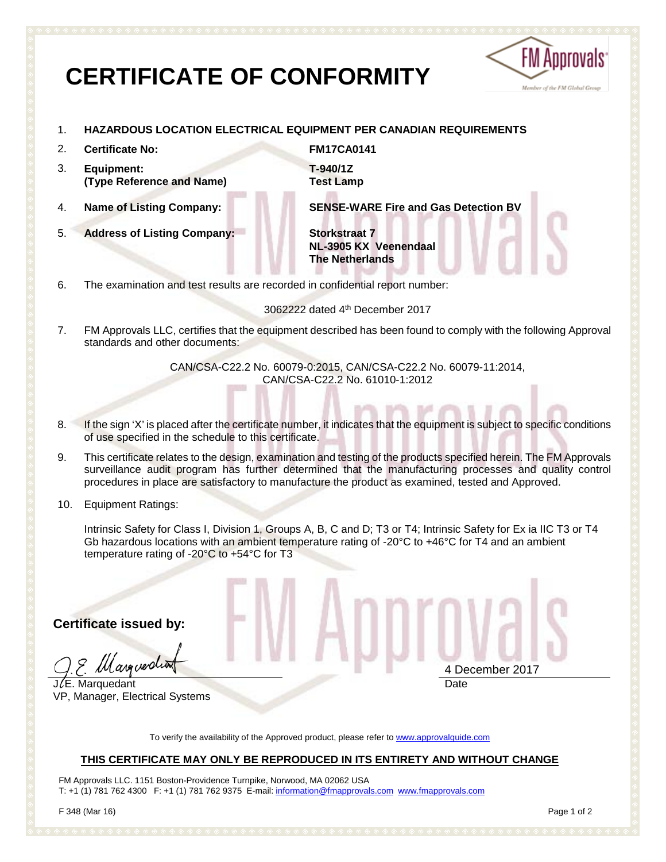# **CERTIFICATE OF CONFORMITY**



- 1. **HAZARDOUS LOCATION ELECTRICAL EQUIPMENT PER CANADIAN REQUIREMENTS**
- 2. **Certificate No: FM17CA0141**
- 3. **Equipment: (Type Reference and Name)**
- 
- 5. **Address of Listing Company: Storkstraat 7**

**T-940/1Z Test Lamp**

4. **Name of Listing Company: SENSE-WARE Fire and Gas Detection BV**

**NL-3905 KX Veenendaal The Netherlands**

6. The examination and test results are recorded in confidential report number:

3062222 dated 4th December 2017

7. FM Approvals LLC, certifies that the equipment described has been found to comply with the following Approval standards and other documents:

> CAN/CSA-C22.2 No. 60079-0:2015, CAN/CSA-C22.2 No. 60079-11:2014, CAN/CSA-C22.2 No. 61010-1:2012

- 8. If the sign 'X' is placed after the certificate number, it indicates that the equipment is subject to specific conditions of use specified in the schedule to this certificate.
- 9. This certificate relates to the design, examination and testing of the products specified herein. The FM Approvals surveillance audit program has further determined that the manufacturing processes and quality control procedures in place are satisfactory to manufacture the product as examined, tested and Approved.
- 10. Equipment Ratings:

Intrinsic Safety for Class I, Division 1, Groups A, B, C and D; T3 or T4; Intrinsic Safety for Ex ia IIC T3 or T4 Gb hazardous locations with an ambient temperature rating of -20°C to +46°C for T4 and an ambient temperature rating of -20°C to +54°C for T3

**Certificate issued by:**

*lll arguer*di

 $J/E$ . Marquedant VP, Manager, Electrical Systems 4 December 2017 **Date** 

To verify the availability of the Approved product, please refer to [www.approvalguide.com](http://www.approvalguide.com/)

#### **THIS CERTIFICATE MAY ONLY BE REPRODUCED IN ITS ENTIRETY AND WITHOUT CHANGE**

FM Approvals LLC. 1151 Boston-Providence Turnpike, Norwood, MA 02062 USA T: +1 (1) 781 762 4300 F: +1 (1) 781 762 9375 E-mail[: information@fmapprovals.com](mailto:information@fmapprovals.com) [www.fmapprovals.com](http://www.fmapprovals.com/)